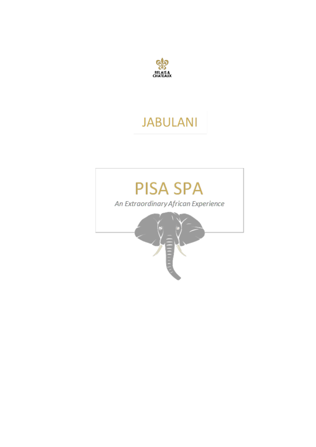

# **JABULANI**

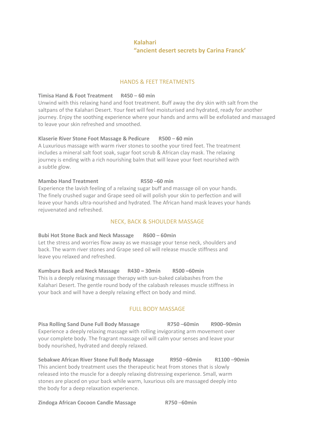# **Kalahari "ancient desert secrets by Carina Franck'**

## HANDS & FEET TREATMENTS

## **Timisa Hand & Foot Treatment R450** – **60 min**

Unwind with this relaxing hand and foot treatment. Buff away the dry skin with salt from the saltpans of the Kalahari Desert. Your feet will feel moisturised and hydrated, ready for another journey. Enjoy the soothing experience where your hands and arms will be exfoliated and massaged to leave your skin refreshed and smoothed.

# **Klaserie River Stone Foot Massage & Pedicure R500** – **60 min**

A Luxurious massage with warm river stones to soothe your tired feet. The treatment includes a mineral salt foot soak, sugar foot scrub & African clay mask. The relaxing journey is ending with a rich nourishing balm that will leave your feet nourished with a subtle glow.

## **Mambo Hand Treatment R550** –**60 min**

Experience the lavish feeling of a relaxing sugar buff and massage oil on your hands. The finely crushed sugar and Grape seed oil will polish your skin to perfection and will leave your hands ultra-nourished and hydrated. The African hand mask leaves your hands rejuvenated and refreshed.

# NECK, BACK & SHOULDER MASSAGE

## **Bubi Hot Stone Back and Neck Massage R600** – **60min**

Let the stress and worries flow away as we massage your tense neck, shoulders and back. The warm river stones and Grape seed oil will release muscle stiffness and leave you relaxed and refreshed.

**Kumbura Back and Neck Massage R430 – 30min R500 –60min** This is a deeply relaxing massage therapy with sun-baked calabashes from the Kalahari Desert. The gentle round body of the calabash releases muscle stiffness in your back and will have a deeply relaxing effect on body and mind.

# FULL BODY MASSAGE

**Pisa Rolling Sand Dune Full Body Massage R750** –**60min R900**–**90min** Experience a deeply relaxing massage with rolling invigorating arm movement over your complete body. The fragrant massage oil will calm your senses and leave your body nourished, hydrated and deeply relaxed.

**Sebakwe African River Stone Full Body Massage R950** –**60min R1100** –**90min** This ancient body treatment uses the therapeutic heat from stones that is slowly released into the muscle for a deeply relaxing distressing experience. Small, warm stones are placed on your back while warm, luxurious oils are massaged deeply into the body for a deep relaxation experience.

**Zindoga African Cocoon Candle Massage R750** –**60min**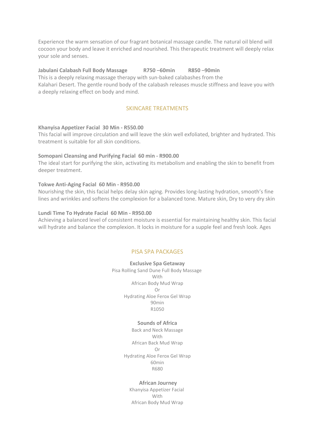Experience the warm sensation of our fragrant botanical massage candle. The natural oil blend will cocoon your body and leave it enriched and nourished. This therapeutic treatment will deeply relax your sole and senses.

## **Jabulani Calabash Full Body Massage R750** –**60min R850** –**90min**

This is a deeply relaxing massage therapy with sun-baked calabashes from the Kalahari Desert. The gentle round body of the calabash releases muscle stiffness and leave you with a deeply relaxing effect on body and mind.

# SKINCARE TREATMENTS

#### **Khanyisa Appetizer Facial 30 Min - R550.00**

This facial will improve circulation and will leave the skin well exfoliated, brighter and hydrated. This treatment is suitable for all skin conditions.

#### **Somopani Cleansing and Purifying Facial 60 min - R900.00**

The ideal start for purifying the skin, activating its metabolism and enabling the skin to benefit from deeper treatment.

### **Tokwe Anti-Aging Facial 60 Min - R950.00**

Nourishing the skin, this facial helps delay skin aging. Provides long-lasting hydration, smooth's fine lines and wrinkles and softens the complexion for a balanced tone. Mature skin, Dry to very dry skin

### **Lundi Time To Hydrate Facial 60 Min - R950.00**

Achieving a balanced level of consistent moisture is essential for maintaining healthy skin. This facial will hydrate and balance the complexion. It locks in moisture for a supple feel and fresh look. Ages

#### PISA SPA PACKAGES

**Exclusive Spa Getaway** Pisa Rolling Sand Dune Full Body Massage With African Body Mud Wrap Or Hydrating Aloe Ferox Gel Wrap 90min R1050

## **Sounds of Africa**

Back and Neck Massage With African Back Mud Wrap Or Hydrating Aloe Ferox Gel Wrap 60min R680

#### **African Journey**

Khanyisa Appetizer Facial With African Body Mud Wrap